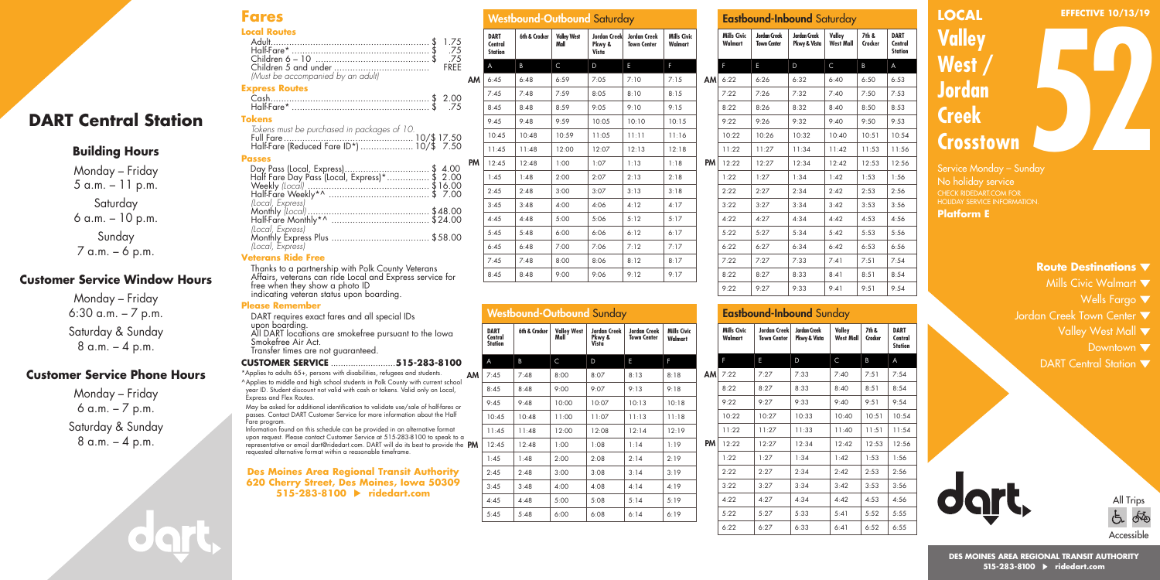#### **Fares Local Routes**

| Local Koutes                      |  |
|-----------------------------------|--|
|                                   |  |
| 75. \$ .75.                       |  |
|                                   |  |
|                                   |  |
| (Must be accompanied by an adult) |  |

#### **Express Routes**

| <b>Tokens</b> |  |
|---------------|--|

| -----                                       |  |
|---------------------------------------------|--|
| Tokens must be purchased in packages of 10. |  |
|                                             |  |
| Half-Fare (Reduced Fare ID*)  10/\$ 7.50    |  |

#### **Passes**

**DART Central Station**

**Building Hours** Monday – Friday 5 a.m. – 11 p.m. Saturday 6 a.m. – 10 p.m. Sunday 7 a.m. – 6 p.m.

**Customer Service Window Hours** Monday – Friday 6:30 a.m. – 7 p.m. Saturday & Sunday  $8 a.m. - 4 p.m.$ 

**Customer Service Phone Hours** Monday – Friday 6 a.m. – 7 p.m. Saturday & Sunday  $8 a.m. - 4 p.m.$ 

| Day Pass (Local, Express)\$ 4.00<br>Half Fare Day Pass (Local, Express)*\$ 2.00 |  |
|---------------------------------------------------------------------------------|--|
|                                                                                 |  |
|                                                                                 |  |
|                                                                                 |  |
| (Local, Express)                                                                |  |
|                                                                                 |  |
|                                                                                 |  |
|                                                                                 |  |
|                                                                                 |  |
| (Local, Express)                                                                |  |
|                                                                                 |  |

#### **Veterans Ride Free**

Thanks to a partnership with Polk County Veterans Affairs, veterans can ride Local and Express service for free when they show a photo ID indicating veteran status upon boarding.

#### **Please Remember**

DART requires exact fares and all special IDs upon boarding. All DART locations are smokefree pursuant to the Iowa Smokefree Air Act. Transfer times are not guaranteed.

#### **CUSTOMER SERVICE** ..........................**515-283-8100**

AM \*Applies to adults 65+, persons with disabilities, refugees and students. ^Applies to middle and high school students in Polk County with current school year ID. Student discount not valid with cash or tokens. Valid only on Local, Express and Flex Routes.

May be asked for additional identification to validate use/sale of half-fares or passes. Contact DART Customer Service for more information about the Half

upon request. Please contact Customer Service at 515-283-8100 to speak to a<br>representative or email dart@ridedart.com. DART will do its best to provide the **PM** Fare program. Information found on this schedule can be provided in an alternative format requested alternative format within a reasonable timeframe.

#### **Des Moines Area Regional Transit Authority 620 Cherry Street, Des Moines, Iowa 50309 515-283-8100 ridedart.com**

|    |                                          | <b>Westbound-Outbound Saturday</b> |                            |                                 |                                           |                               |   |
|----|------------------------------------------|------------------------------------|----------------------------|---------------------------------|-------------------------------------------|-------------------------------|---|
|    | <b>DART</b><br>Central<br><b>Station</b> | 6th & Crocker                      | <b>Valley West</b><br>Mall | Jordan Creek<br>Pkwy &<br>Vista | <b>Jordan Creek</b><br><b>Town Center</b> | <b>Mills Civic</b><br>Walmart |   |
|    | A                                        | B                                  | C                          | D                               | E                                         | F                             |   |
| AM | 6:45                                     | 6:48                               | 6:59                       | 7:05                            | 7:10                                      | 7:15                          | I |
|    | 7:45                                     | 7:48                               | 7:59                       | 8:05                            | 8:10                                      | 8:15                          |   |
|    | 8:45                                     | 8:48                               | 8:59                       | 9:0.5                           | 9:10                                      | 9:15                          |   |
|    | 9:45                                     | 9:48                               | 9:59                       | 10:05                           | 10:10                                     | 10:15                         |   |
|    | 10:45                                    | 10:48                              | 10:59                      | 11:05                           | 11:11                                     | 11:16                         |   |
|    | 11:45                                    | 11:48                              | 12:00                      | 12:07                           | 12:13                                     | 12:18                         |   |
| PM | 12:45                                    | 12:48                              | 1:00                       | 1:07                            | 1:13                                      | 1:18                          | ı |
|    | 1:45                                     | 1:48                               | 2:00                       | 2:07                            | 2:13                                      | 2:18                          |   |
|    | 2:45                                     | 2:48                               | 3:00                       | 3:07                            | 3:13                                      | 3:18                          |   |
|    | 3:45                                     | 3:48                               | 4:00                       | 4:06                            | 4:12                                      | 4:17                          |   |
|    | 4:45                                     | 4:48                               | 5:00                       | 5:06                            | 5:12                                      | 5:17                          |   |
|    | 5:45                                     | 5:48                               | 6:00                       | 6:06                            | 6:12                                      | 6:17                          |   |
|    | 6:45                                     | 6:48                               | 7:00                       | 7:06                            | 7:12                                      | 7:17                          |   |
|    | 7:45                                     | 7:48                               | 8:00                       | 8:06                            | 8:12                                      | 8:17                          |   |
|    | 8:45                                     | 8:48                               | 9:00                       | 9:06                            | 9:12                                      | 9:17                          |   |

|                                          |               |                            | <b>Westbound-Outbound Sunday</b> |                                    |                               |
|------------------------------------------|---------------|----------------------------|----------------------------------|------------------------------------|-------------------------------|
| <b>DART</b><br>Central<br><b>Station</b> | 6th & Crocker | <b>Valley West</b><br>Mall | Jordan Creek<br>Pkwy &<br>Vista  | Jordan Creek<br><b>Town Center</b> | <b>Mills Civic</b><br>Walmart |
| A                                        | B             | C                          | D                                | E                                  | F                             |
| 7:45                                     | 7:48          | 8:00                       | 8:07                             | 8:13                               | 8:18                          |
| 8:45                                     | 8:48          | 9:00                       | 9:07                             | 9:13                               | 9:18                          |
| 9:45                                     | 9:48          | 10:00                      | 10:07                            | 10:13                              | 10:18                         |
| 10:45                                    | 10:48         | 11:00                      | 11:07                            | 11:13                              | 11:18                         |
| 11:45                                    | 11:48         | 12:00                      | 12:08                            | 12:14                              | 12:19                         |
| 12:45                                    | 12:48         | 1:00                       | 1:08                             | 1:14                               | 1:19                          |
| 1:45                                     | 1:48          | 2:00                       | 2:08                             | 2:14                               | 2:19                          |
| 2:45                                     | 2:48          | 3:00                       | 3:08                             | 3:14                               | 3:19                          |
| 3:45                                     | 3:48          | 4:00                       | 4:08                             | 4:14                               | 4:19                          |

4:45 4:48 5:00 5:08 5:14 5:19 5:45 5:48 6:00 6:08 6:14 6:19

|    |                               | <b>Eastbound-Inbound</b> Saturday         |                                     |                            |                  |                                          |
|----|-------------------------------|-------------------------------------------|-------------------------------------|----------------------------|------------------|------------------------------------------|
|    | <b>Mills Civic</b><br>Walmart | <b>Jordan Creek</b><br><b>Town Center</b> | <b>Jordan Creek</b><br>Pkwy & Vista | Valley<br><b>West Mall</b> | 7th &<br>Crocker | <b>DART</b><br>Central<br><b>Station</b> |
|    | F                             | E                                         | D                                   | $\mathsf{C}$               | B                | A                                        |
| AМ | 6:22                          | 6:26                                      | 6:32                                | 6:40                       | 6:50             | 6:53                                     |
|    | 7:22                          | 7:26                                      | 7:32                                | 7:40                       | 7:50             | 7:53                                     |
|    | 8:22                          | 8:26                                      | 8:32                                | 8:40                       | 8:50             | 8:53                                     |
|    | 9:22                          | 9:26                                      | 9:32                                | 9:40                       | 9:50             | 9:53                                     |
|    | 10:22                         | 10:26                                     | 10:32                               | 10:40                      | 10:51            | 10:54                                    |
|    | 11:22                         | 11:27                                     | 11:34                               | 11:42                      | 11:53            | 11:56                                    |
| PM | 12:22                         | 12:27                                     | 12:34                               | 12:42                      | 12:53            | 12:56                                    |
|    | 1:22                          | 1:27                                      | 1:34                                | 1:42                       | 1:53             | 1:56                                     |
|    | 2:22                          | 2:27                                      | 2:34                                | 2:42                       | 2:53             | 2:56                                     |
|    | 3:22                          | 3:27                                      | 3:34                                | 3:42                       | 3:53             | 3:56                                     |
|    | 4:22                          | 4:27                                      | 4:34                                | 4:42                       | 4:53             | 4:56                                     |
|    | 5:22                          | 5:27                                      | 5:34                                | 5:42                       | 5:53             | 5:56                                     |
|    | 6:22                          | 6:27                                      | 6:34                                | 6:42                       | 6:53             | 6:56                                     |
|    | 7:22                          | 7:27                                      | 7:33                                | 7:41                       | 7:51             | 7:54                                     |
|    | 8:22                          | 8:27                                      | 8:33                                | 8:41                       | 8:51             | 8:54                                     |
|    | 9:22                          | 9:27                                      | 9:33                                | 9:41                       | 9:51             | 9:54                                     |
|    |                               |                                           |                                     |                            |                  |                                          |

### Eastbound-Inbound Sunday

|    | Mills Civic<br>Walmart | Jordan Creek<br><b>Town Center</b> | Jordan Creek<br>Pkwy & Vista | Valley<br><b>West Mall</b> | 7th &<br>Crocker | <b>DART</b><br>Central<br><b>Station</b> |
|----|------------------------|------------------------------------|------------------------------|----------------------------|------------------|------------------------------------------|
|    | F                      | E                                  | D                            | C                          | Β                | A                                        |
| AM | 7:22                   | 7:27                               | 7:33                         | 7:40                       | 7:51             | 7:54                                     |
|    | 8:22                   | 8:27                               | 8:33                         | 8:40                       | 8:51             | 8:54                                     |
|    | 9:22                   | 9:27                               | 9:33                         | 9:40                       | 9:51             | 9:54                                     |
|    | 10:22                  | 10:27                              | 10:33                        | 10:40                      | 10:51            | 10:54                                    |
|    | 11:22                  | 11:27                              | 11:33                        | 11:40                      | 11:51            | 11:54                                    |
| PM | 12:22                  | 12:27                              | 12:34                        | 12:42                      | 12:53            | 12:56                                    |
|    | 1:22                   | 1:27                               | 1:34                         | 1:42                       | 1:53             | 1:56                                     |
|    | 2:22                   | 2:27                               | 2:34                         | 2:42                       | 2:53             | 2:56                                     |
|    | 3:22                   | 3:27                               | 3:34                         | 3:42                       | 3:53             | 3:56                                     |
|    | 4:22                   | 4:27                               | 4:34                         | 4:42                       | 4:53             | 4:56                                     |
|    | 5:22                   | 5:27                               | 5:33                         | 5:41                       | 5:52             | 5:55                                     |
|    | 6:22                   | 6:27                               | 6:33                         | 6:41                       | 6:52             | 6:55                                     |

## **LOCAL Valley West / Jordan Creek Crosstown 52 EFFECTIVE 10/13/19**

No holiday service CHECK RIDEDART.COM FOR HOLIDAY SERVICE INFORMATION. **Platform E**

#### **Route Destinations**

- Mills Civic Walmart  $\blacktriangledown$ 
	- Wells Fargo
- Jordan Creek Town Center  $\blacktriangledown$ 
	- Valley West Mall  $\blacktriangledown$ 
		- Downtown  $\blacktriangledown$
	- DART Central Station  $\blacktriangledown$



#### **DES MOINES AREA REGIONAL TRANSIT AUTHORITY 515-283-8100 ridedart.com**